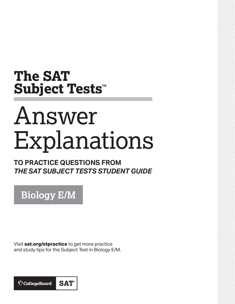## **The SAT Subject Tests™**

# Answer Explanations

**TO PRACTICE QUESTIONS FROM**  *THE SAT SUBJECT TESTS STUDENT GUIDE*

**Biology E/M**

Visit **[sat.org/stpractice](http://sat.org/stpractice)** to get more practice and study tips for the Subject Test in Biology E/M.

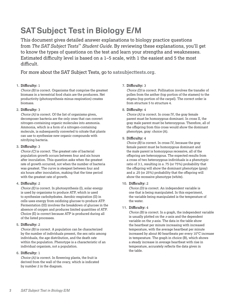### **SATSubject Test in Biology E/M**

This document gives detailed answer explanations to biology practice questions from *The SAT Subject Tests*™ *Student Guide*. By reviewing these explanations, you'll get to know the types of questions on the test and learn your strengths and weaknesses. Estimated difficulty level is based on a 1–5 scale, with 1 the easiest and 5 the most difficult.

For more about the SAT Subject Tests, go to **[satsubjecttests.org](sat.collegeboard.org/ about-tests/sat-subject-tests)**.

#### **1. Difficulty:** 1

*Choice (B)* is correct. Organisms that comprise the greatest biomass in a terrestrial food chain are the producers. Net productivity (photosynthesis minus respiration) creates biomass.

#### **2. Difficulty:** 3

*Choice (A)* is correct. Of the list of organisms given, decomposer bacteria are the only ones that can convert nitrogen-containing organic molecules into ammonia. Ammonia, which is a form of a nitrogen-containing molecule, is subsequently converted to nitrate that plants can use to synthesize new organic compounds with nitrifying bacteria.

#### **3. Difficulty:** 3

*Choice (C)* is correct. The greatest rate of bacterial population growth occurs between four and six hours after inoculation. This question asks when the greatest rate of growth occurred, not when the number of bacteria was greatest. The curve is steepest between four and six hours after inoculation, making that the time period with the greatest rate of growth.

#### **4. Difficulty:** 2

*Choice (E)* is correct. In photosynthesis (I), solar energy is used by organisms to produce ATP, which is used to synthesize carbohydrates. Aerobic respiration (II) in cells uses energy from oxidizing glucose to produce ATP. Fermentation (III) involves the breakdown of glucose in the absence of oxygen and produces limited quantities of ATP. Choice (E) is correct because ATP is produced during all of the listed processes.

#### **5. Difficulty:** 2

*Choice (B)* is correct. A population can be characterized by the number of individuals present, the sex ratio among individuals, the age distribution, and the death rate within the population. Phenotype is a characteristic of an individual organism, not a population.

#### **6. Difficulty:** 1

*Choice (A)* is correct. In flowering plants, the fruit is derived from the wall of the ovary, which is indicated by number 2 in the diagram.

#### **7. Difficulty:** 3

*Choice (D)* is correct. Pollination involves the transfer of pollen from the anther (top portion of the stamen) to the stigma (top portion of the carpel). The correct order is from structure 5 to structure 4.

#### **8. Difficulty:** 4

*Choice (A)* is correct. In cross IV, the gray female parent must be homozygous dominant. In cross II, the gray male parent must be heterozygous. Therefore, all of the offspring from this cross would show the dominant phenotype, gray: choice (A).

#### **9. Difficulty:** 4

*Choice (B)* is correct. In cross IV, because the gray female parent must be homozygous dominant and the male parent is homozygous recessive, all of the offspring are heterozygous. The expected results from a cross of two heterozygous individuals is a phenotypic ratio of 3:1, resulting in a .75 (or 75%) probability that the offspring will show the dominant phenotype (gray) and a .25 (or 25%) probability that the offspring will show the recessive phenotype (white).

#### **10. Difficulty:** 2

*Choice (D)* is correct. An independent variable is one that is being manipulated. In this experiment, the variable being manipulated is the temperature of the water.

#### **11. Difficulty:** 4

*Choice (B)* is correct. In a graph, the independent variable is usually plotted on the *x*-axis and the dependent variable on the *y*-axis. The data in the table show the heartbeat per minute increasing with increased temperature, with the average heartbeat per minute increased by about 80 heartbeats per every 10°C increase in temperature. The graph in choice (B), which shows a steady increase in average heartbeat with rise in temperature, accurately reflects the data given in the table.